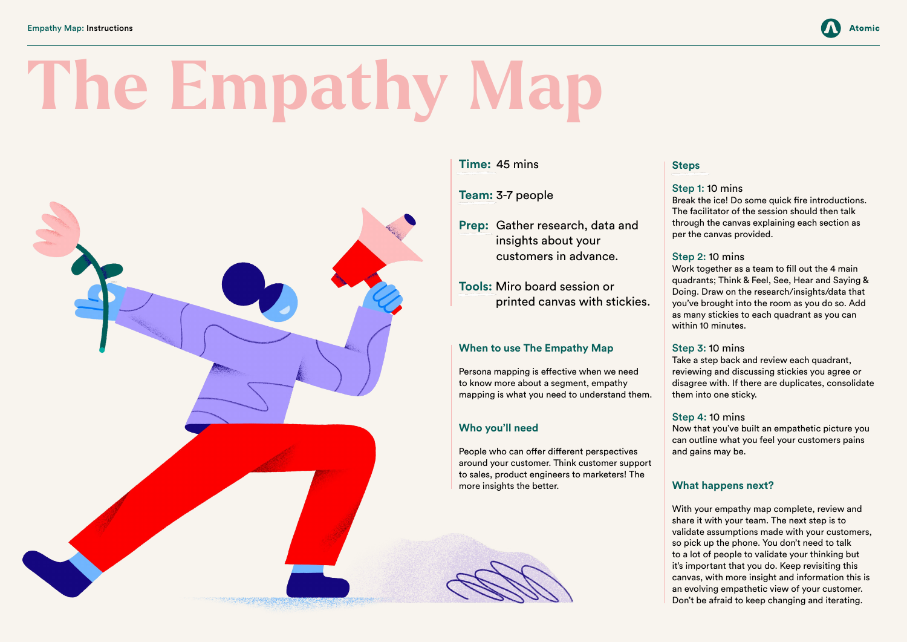#### **Time:** 45 mins

#### **Team:** 3-7 people

**Prep:** Gather research, data and insights about your customers in advance.

**Tools:** Miro board session or printed canvas with stickies.

#### **When to use The Empathy Map**

Persona mapping is effective when we need to know more about a segment, empathy mapping is what you need to understand them.

#### **Who you'll need**

People who can offer different perspectives around your customer. Think customer support to sales, product engineers to marketers! The more insights the better.

# **Steps**

Step 1: 10 mins Break the ice! Do some quick fire introductions. The facilitator of the session should then talk through the canvas explaining each section as per the canvas provided.

#### Step 2: 10 mins

Work together as a team to fill out the 4 main quadrants; Think & Feel, See, Hear and Saying & Doing. Draw on the research/insights/data that you've brought into the room as you do so. Add as many stickies to each quadrant as you can within 10 minutes.

#### Step 3: 10 mins

Take a step back and review each quadrant, reviewing and discussing stickies you agree or disagree with. If there are duplicates, consolidate them into one sticky.

#### Step 4: 10 mins

Now that you've built an empathetic picture you can outline what you feel your customers pains and gains may be.

### **What happens next?**



With your empathy map complete, review and share it with your team. The next step is to validate assumptions made with your customers, so pick up the phone. You don't need to talk to a lot of people to validate your thinking but it's important that you do. Keep revisiting this canvas, with more insight and information this is an evolving empathetic view of your customer. Don't be afraid to keep changing and iterating.

# **The Empathy Map**

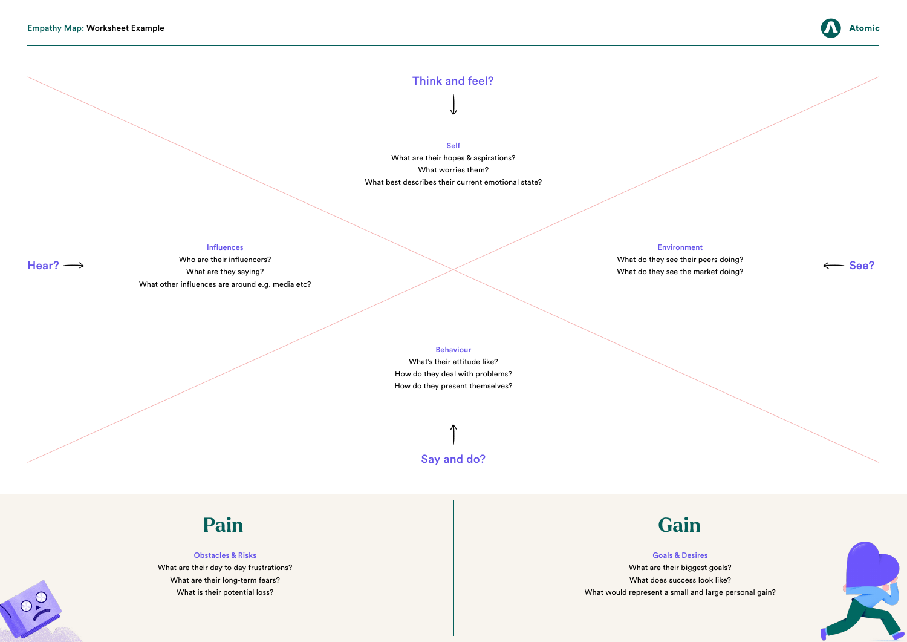# **Pain Gain**

#### Think and feel?

# Say and do?

 $O_{\frac{1}{2}}$ 

Self

What are their hopes & aspirations? What worries them? What best describes their current emotional state?

#### Obstacles & Risks

What are their day to day frustrations? What are their long-term fears? What is their potential loss?

 $\text{Hear?} \longrightarrow$  What are then are then are the matter. Who are their influencers? What are they saying? What other influences are around e.g. media etc?

## What are their biggest goals? What does success look like?



Goals & Desires What would represent a small and large personal gain?



#### Influences

Environment

What do they see their peers doing?

What do they see the market doing?



#### Behaviour

What's their attitude like? How do they deal with problems? How do they present themselves?